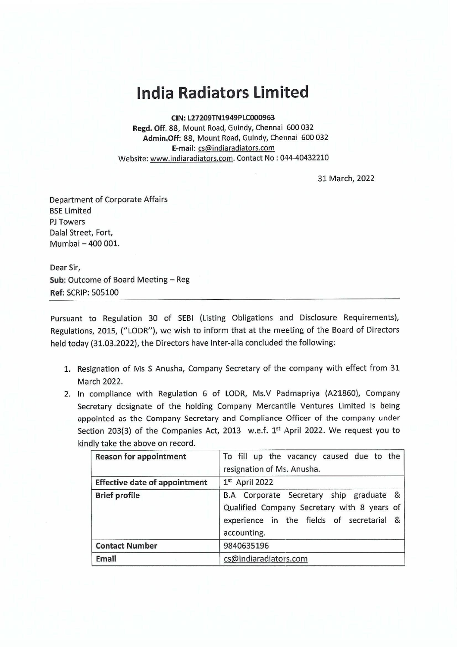## **India Radiators Limited**

**CIN:L27209TN1949PLC000963** 

**Regd. Off.** 88, Mount Road, Guindy, Chennai 600 032 **Admin.Off:** 88, Mount Road, Guindy, Chennai 600 032 **E-mail:** cs@indiaradiators.com Website: www.indiaradiators.com. Contact No : 044-40432210

31 March, 2022

Department of Corporate Affairs BSE Limited PJ Towers Dalal Street, Fort, Mumbai - 400 001.

Dear Sir, **Sub: Outcome of Board Meeting - Reg Ref:** SCRIP: 505100

Pursuant to Regulation 30 of SEBI (Listing Obligations and Disclosure Requirements), Regulations, 2015, ("LODR"), we wish to inform that at the meeting of the Board of Directors held today (31.03.2022), the Directors have inter-alia concluded the following:

- 1. Resignation of Ms S Anusha, Company Secretary of the company with effect from 31 March 2022.
- 2. In compliance with Regulation 6 of LODR, Ms.V Padmapriya (A21860), Company Secretary designate of the holding Company Mercantile Ventures Limited is being appointed as the Company Secretary and Compliance Officer of the company under Section 203(3) of the Companies Act, 2013 w.e.f. 1st April 2022. We request you to kindly take the above on record.

| <b>Reason for appointment</b>        | To fill up the vacancy caused due to the    |
|--------------------------------------|---------------------------------------------|
|                                      | resignation of Ms. Anusha.                  |
| <b>Effective date of appointment</b> | $1st$ April 2022                            |
| <b>Brief profile</b>                 | B.A Corporate Secretary ship graduate &     |
|                                      | Qualified Company Secretary with 8 years of |
|                                      | experience in the fields of secretarial &   |
|                                      | accounting.                                 |
| <b>Contact Number</b>                | 9840635196                                  |
| <b>Email</b>                         | cs@indiaradiators.com                       |